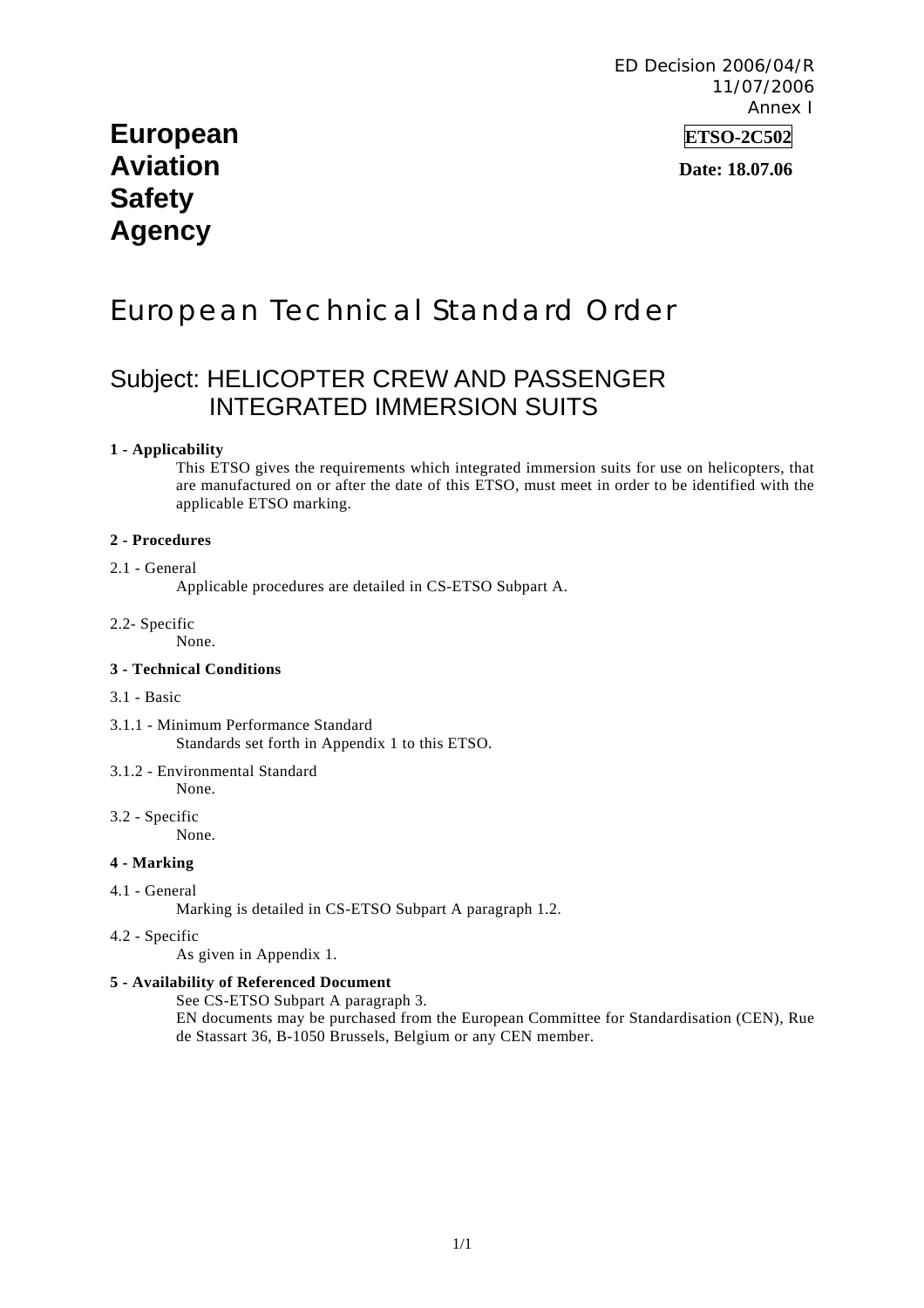ED Decision 2006/04/R 11/07/2006 Annex I

# **European ETSO-2C502 Aviation Date: 18.07.06 Safety Agency**

# European Technical Standard Order

# Subject: HELICOPTER CREW AND PASSENGER INTEGRATED IMMERSION SUITS

#### **1 - Applicability**

This ETSO gives the requirements which integrated immersion suits for use on helicopters, that are manufactured on or after the date of this ETSO, must meet in order to be identified with the applicable ETSO marking.

#### **2 - Procedures**

#### 2.1 - General

Applicable procedures are detailed in CS-ETSO Subpart A.

2.2- Specific

None.

#### **3 - Technical Conditions**

#### 3.1 - Basic

- 3.1.1 Minimum Performance Standard Standards set forth in Appendix 1 to this ETSO.
- 3.1.2 Environmental Standard

None.

3.2 - Specific None.

**4 - Marking** 

4.1 - General

Marking is detailed in CS-ETSO Subpart A paragraph 1.2.

4.2 - Specific

As given in Appendix 1.

#### **5 - Availability of Referenced Document**

See CS-ETSO Subpart A paragraph 3.

EN documents may be purchased from the European Committee for Standardisation (CEN), Rue de Stassart 36, B-1050 Brussels, Belgium or any CEN member.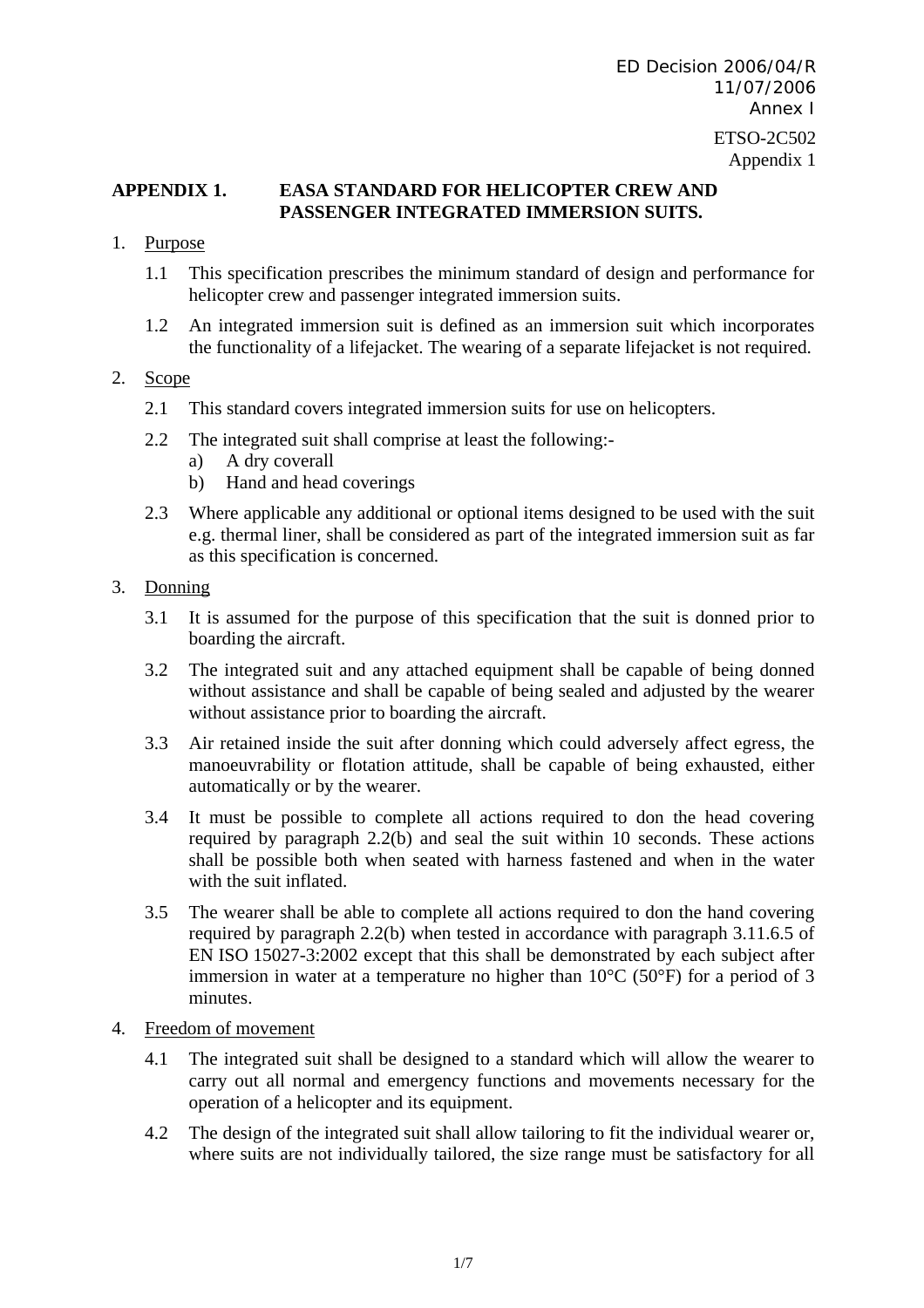# **APPENDIX 1. EASA STANDARD FOR HELICOPTER CREW AND PASSENGER INTEGRATED IMMERSION SUITS.**

- 1. Purpose
	- 1.1 This specification prescribes the minimum standard of design and performance for helicopter crew and passenger integrated immersion suits.
	- 1.2 An integrated immersion suit is defined as an immersion suit which incorporates the functionality of a lifejacket. The wearing of a separate lifejacket is not required.

#### 2. Scope

- 2.1 This standard covers integrated immersion suits for use on helicopters.
- 2.2 The integrated suit shall comprise at least the following:
	- a) A dry coverall
	- b) Hand and head coverings
- 2.3 Where applicable any additional or optional items designed to be used with the suit e.g. thermal liner, shall be considered as part of the integrated immersion suit as far as this specification is concerned.
- 3. Donning
	- 3.1 It is assumed for the purpose of this specification that the suit is donned prior to boarding the aircraft.
	- 3.2 The integrated suit and any attached equipment shall be capable of being donned without assistance and shall be capable of being sealed and adjusted by the wearer without assistance prior to boarding the aircraft.
	- 3.3 Air retained inside the suit after donning which could adversely affect egress, the manoeuvrability or flotation attitude, shall be capable of being exhausted, either automatically or by the wearer.
	- 3.4 It must be possible to complete all actions required to don the head covering required by paragraph 2.2(b) and seal the suit within 10 seconds. These actions shall be possible both when seated with harness fastened and when in the water with the suit inflated.
	- 3.5 The wearer shall be able to complete all actions required to don the hand covering required by paragraph 2.2(b) when tested in accordance with paragraph 3.11.6.5 of EN ISO 15027-3:2002 except that this shall be demonstrated by each subject after immersion in water at a temperature no higher than  $10^{\circ}$ C (50 $^{\circ}$ F) for a period of 3 minutes.

#### 4. Freedom of movement

- 4.1 The integrated suit shall be designed to a standard which will allow the wearer to carry out all normal and emergency functions and movements necessary for the operation of a helicopter and its equipment.
- 4.2 The design of the integrated suit shall allow tailoring to fit the individual wearer or, where suits are not individually tailored, the size range must be satisfactory for all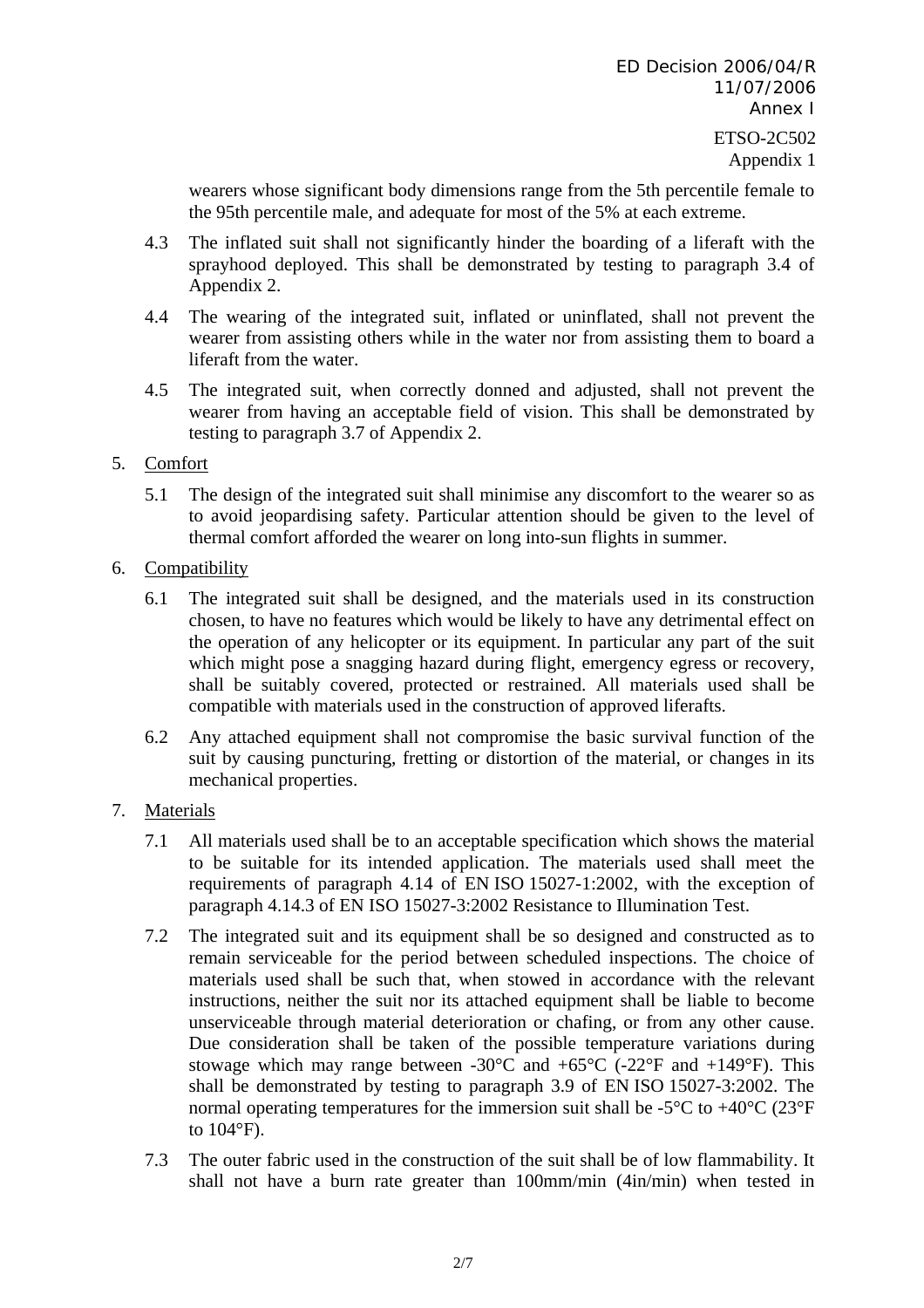ETSO-2C502 Appendix 1

wearers whose significant body dimensions range from the 5th percentile female to the 95th percentile male, and adequate for most of the 5% at each extreme.

- 4.3 The inflated suit shall not significantly hinder the boarding of a liferaft with the sprayhood deployed. This shall be demonstrated by testing to paragraph 3.4 of Appendix 2.
- 4.4 The wearing of the integrated suit, inflated or uninflated, shall not prevent the wearer from assisting others while in the water nor from assisting them to board a liferaft from the water.
- 4.5 The integrated suit, when correctly donned and adjusted, shall not prevent the wearer from having an acceptable field of vision. This shall be demonstrated by testing to paragraph 3.7 of Appendix 2.

# 5. Comfort

- 5.1 The design of the integrated suit shall minimise any discomfort to the wearer so as to avoid jeopardising safety. Particular attention should be given to the level of thermal comfort afforded the wearer on long into-sun flights in summer.
- 6. Compatibility
	- 6.1 The integrated suit shall be designed, and the materials used in its construction chosen, to have no features which would be likely to have any detrimental effect on the operation of any helicopter or its equipment. In particular any part of the suit which might pose a snagging hazard during flight, emergency egress or recovery, shall be suitably covered, protected or restrained. All materials used shall be compatible with materials used in the construction of approved liferafts.
	- 6.2 Any attached equipment shall not compromise the basic survival function of the suit by causing puncturing, fretting or distortion of the material, or changes in its mechanical properties.

# 7. Materials

- 7.1 All materials used shall be to an acceptable specification which shows the material to be suitable for its intended application. The materials used shall meet the requirements of paragraph 4.14 of EN ISO 15027-1:2002, with the exception of paragraph 4.14.3 of EN ISO 15027-3:2002 Resistance to Illumination Test.
- 7.2 The integrated suit and its equipment shall be so designed and constructed as to remain serviceable for the period between scheduled inspections. The choice of materials used shall be such that, when stowed in accordance with the relevant instructions, neither the suit nor its attached equipment shall be liable to become unserviceable through material deterioration or chafing, or from any other cause. Due consideration shall be taken of the possible temperature variations during stowage which may range between -30 $^{\circ}$ C and +65 $^{\circ}$ C (-22 $^{\circ}$ F and +149 $^{\circ}$ F). This shall be demonstrated by testing to paragraph 3.9 of EN ISO 15027-3:2002. The normal operating temperatures for the immersion suit shall be -5 $\rm ^{\circ}C$  to +40 $\rm ^{\circ}C$  (23 $\rm ^{\circ}F$ ) to 104°F).
- 7.3 The outer fabric used in the construction of the suit shall be of low flammability. It shall not have a burn rate greater than 100mm/min (4in/min) when tested in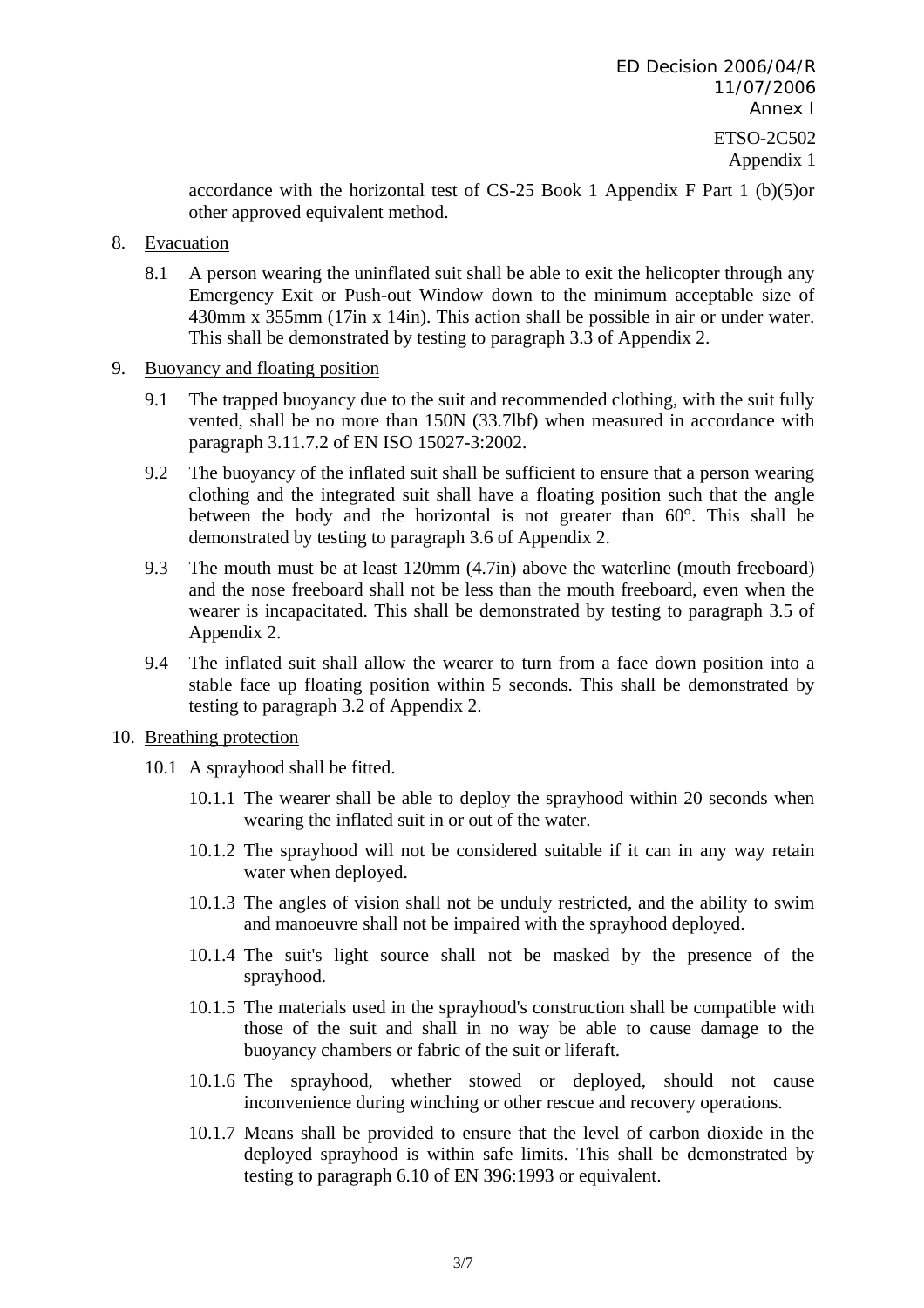accordance with the horizontal test of CS-25 Book 1 Appendix F Part 1 (b)(5)or other approved equivalent method.

- 8. Evacuation
	- 8.1 A person wearing the uninflated suit shall be able to exit the helicopter through any Emergency Exit or Push-out Window down to the minimum acceptable size of 430mm x 355mm (17in x 14in). This action shall be possible in air or under water. This shall be demonstrated by testing to paragraph 3.3 of Appendix 2.
- 9. Buoyancy and floating position
	- 9.1 The trapped buoyancy due to the suit and recommended clothing, with the suit fully vented, shall be no more than 150N (33.7lbf) when measured in accordance with paragraph 3.11.7.2 of EN ISO 15027-3:2002.
	- 9.2 The buoyancy of the inflated suit shall be sufficient to ensure that a person wearing clothing and the integrated suit shall have a floating position such that the angle between the body and the horizontal is not greater than 60°. This shall be demonstrated by testing to paragraph 3.6 of Appendix 2.
	- 9.3 The mouth must be at least 120mm (4.7in) above the waterline (mouth freeboard) and the nose freeboard shall not be less than the mouth freeboard, even when the wearer is incapacitated. This shall be demonstrated by testing to paragraph 3.5 of Appendix 2.
	- 9.4 The inflated suit shall allow the wearer to turn from a face down position into a stable face up floating position within 5 seconds. This shall be demonstrated by testing to paragraph 3.2 of Appendix 2.
- 10. Breathing protection
	- 10.1 A sprayhood shall be fitted.
		- 10.1.1 The wearer shall be able to deploy the sprayhood within 20 seconds when wearing the inflated suit in or out of the water.
		- 10.1.2 The sprayhood will not be considered suitable if it can in any way retain water when deployed.
		- 10.1.3 The angles of vision shall not be unduly restricted, and the ability to swim and manoeuvre shall not be impaired with the sprayhood deployed.
		- 10.1.4 The suit's light source shall not be masked by the presence of the sprayhood.
		- 10.1.5 The materials used in the sprayhood's construction shall be compatible with those of the suit and shall in no way be able to cause damage to the buoyancy chambers or fabric of the suit or liferaft.
		- 10.1.6 The sprayhood, whether stowed or deployed, should not cause inconvenience during winching or other rescue and recovery operations.
		- 10.1.7 Means shall be provided to ensure that the level of carbon dioxide in the deployed sprayhood is within safe limits. This shall be demonstrated by testing to paragraph 6.10 of EN 396:1993 or equivalent.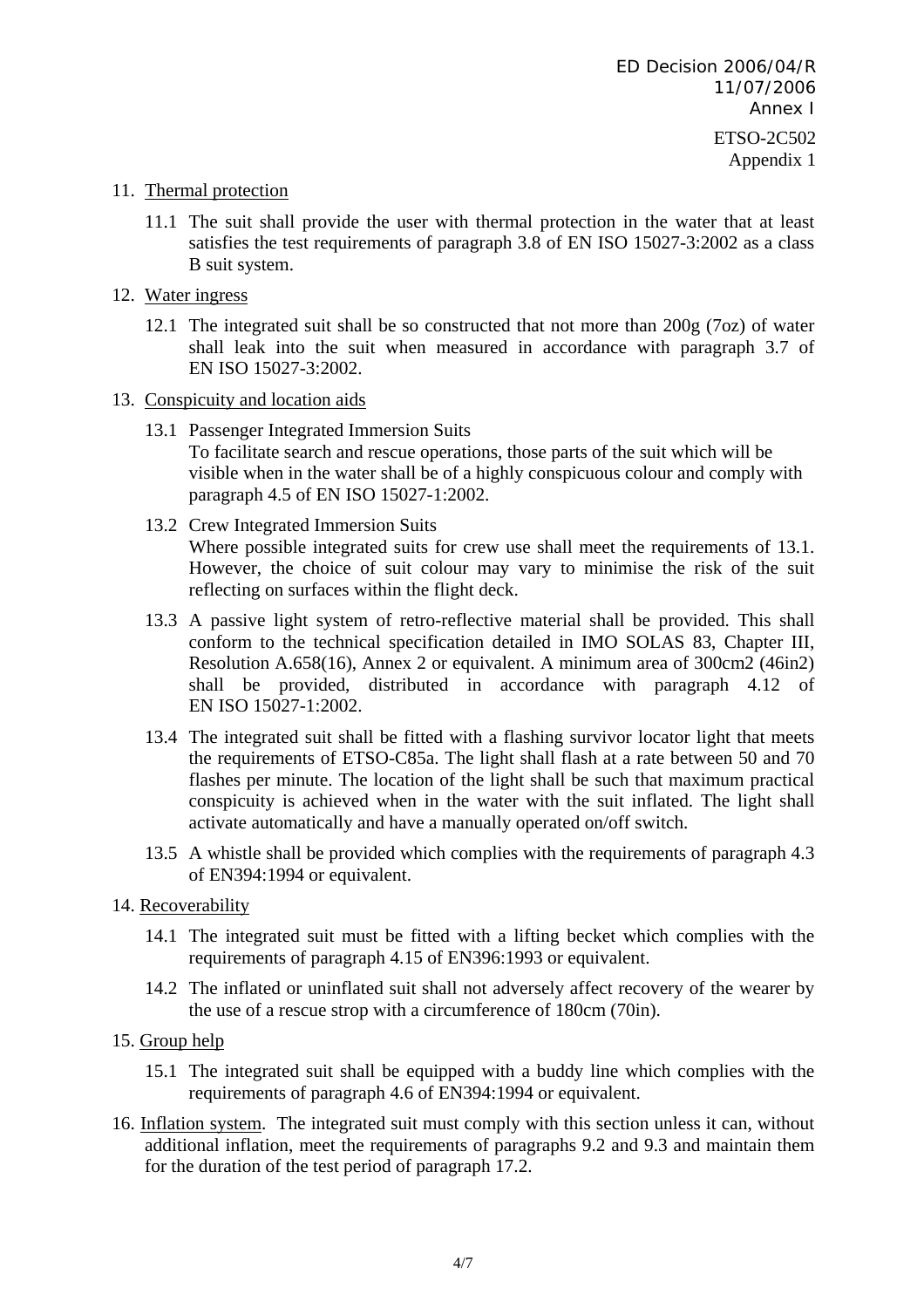### 11. Thermal protection

- 11.1 The suit shall provide the user with thermal protection in the water that at least satisfies the test requirements of paragraph 3.8 of EN ISO 15027-3:2002 as a class B suit system.
- 12. Water ingress
	- 12.1 The integrated suit shall be so constructed that not more than 200g (7oz) of water shall leak into the suit when measured in accordance with paragraph 3.7 of EN ISO 15027-3:2002.
- 13. Conspicuity and location aids
	- 13.1 Passenger Integrated Immersion Suits To facilitate search and rescue operations, those parts of the suit which will be visible when in the water shall be of a highly conspicuous colour and comply with paragraph 4.5 of EN ISO 15027-1:2002.
	- 13.2 Crew Integrated Immersion Suits Where possible integrated suits for crew use shall meet the requirements of 13.1. However, the choice of suit colour may vary to minimise the risk of the suit reflecting on surfaces within the flight deck.
	- 13.3 A passive light system of retro-reflective material shall be provided. This shall conform to the technical specification detailed in IMO SOLAS 83, Chapter III, Resolution A.658(16), Annex 2 or equivalent. A minimum area of 300cm2 (46in2) shall be provided, distributed in accordance with paragraph 4.12 of EN ISO 15027-1:2002.
	- 13.4 The integrated suit shall be fitted with a flashing survivor locator light that meets the requirements of ETSO-C85a. The light shall flash at a rate between 50 and 70 flashes per minute. The location of the light shall be such that maximum practical conspicuity is achieved when in the water with the suit inflated. The light shall activate automatically and have a manually operated on/off switch.
	- 13.5 A whistle shall be provided which complies with the requirements of paragraph 4.3 of EN394:1994 or equivalent.
- 14. Recoverability
	- 14.1 The integrated suit must be fitted with a lifting becket which complies with the requirements of paragraph 4.15 of EN396:1993 or equivalent.
	- 14.2 The inflated or uninflated suit shall not adversely affect recovery of the wearer by the use of a rescue strop with a circumference of 180cm (70in).
- 15. Group help
	- 15.1 The integrated suit shall be equipped with a buddy line which complies with the requirements of paragraph 4.6 of EN394:1994 or equivalent.
- 16. Inflation system. The integrated suit must comply with this section unless it can, without additional inflation, meet the requirements of paragraphs 9.2 and 9.3 and maintain them for the duration of the test period of paragraph 17.2.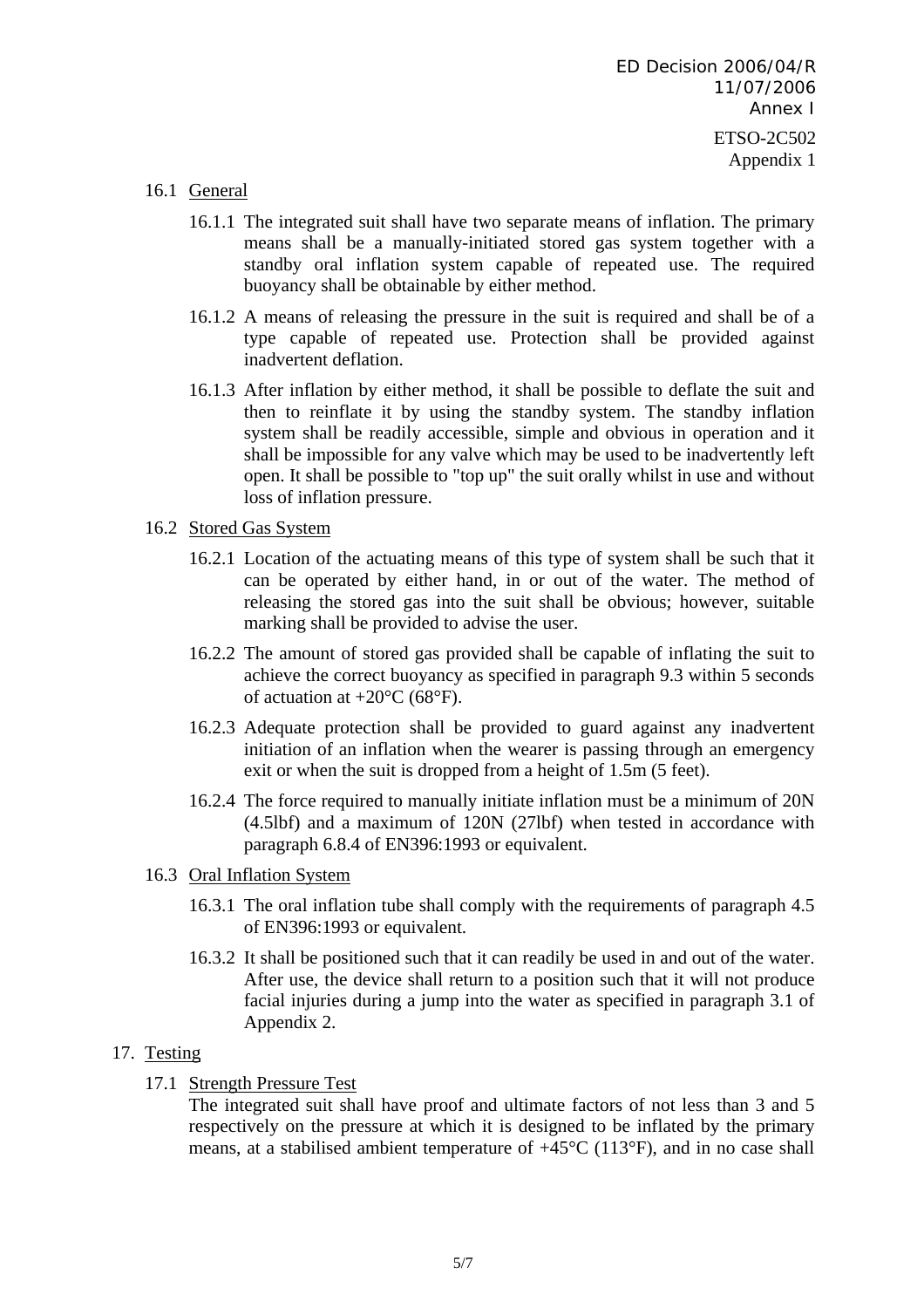- 16.1 General
	- 16.1.1 The integrated suit shall have two separate means of inflation. The primary means shall be a manually-initiated stored gas system together with a standby oral inflation system capable of repeated use. The required buoyancy shall be obtainable by either method.
	- 16.1.2 A means of releasing the pressure in the suit is required and shall be of a type capable of repeated use. Protection shall be provided against inadvertent deflation.
	- 16.1.3 After inflation by either method, it shall be possible to deflate the suit and then to reinflate it by using the standby system. The standby inflation system shall be readily accessible, simple and obvious in operation and it shall be impossible for any valve which may be used to be inadvertently left open. It shall be possible to "top up" the suit orally whilst in use and without loss of inflation pressure.
- 16.2 Stored Gas System
	- 16.2.1 Location of the actuating means of this type of system shall be such that it can be operated by either hand, in or out of the water. The method of releasing the stored gas into the suit shall be obvious; however, suitable marking shall be provided to advise the user.
	- 16.2.2 The amount of stored gas provided shall be capable of inflating the suit to achieve the correct buoyancy as specified in paragraph 9.3 within 5 seconds of actuation at  $+20^{\circ}$ C (68°F).
	- 16.2.3 Adequate protection shall be provided to guard against any inadvertent initiation of an inflation when the wearer is passing through an emergency exit or when the suit is dropped from a height of 1.5m (5 feet).
	- 16.2.4 The force required to manually initiate inflation must be a minimum of 20N (4.5lbf) and a maximum of 120N (27lbf) when tested in accordance with paragraph 6.8.4 of EN396:1993 or equivalent.
- 16.3 Oral Inflation System
	- 16.3.1 The oral inflation tube shall comply with the requirements of paragraph 4.5 of EN396:1993 or equivalent.
	- 16.3.2 It shall be positioned such that it can readily be used in and out of the water. After use, the device shall return to a position such that it will not produce facial injuries during a jump into the water as specified in paragraph 3.1 of Appendix 2.

# 17. Testing

17.1 Strength Pressure Test

The integrated suit shall have proof and ultimate factors of not less than 3 and 5 respectively on the pressure at which it is designed to be inflated by the primary means, at a stabilised ambient temperature of +45°C (113°F), and in no case shall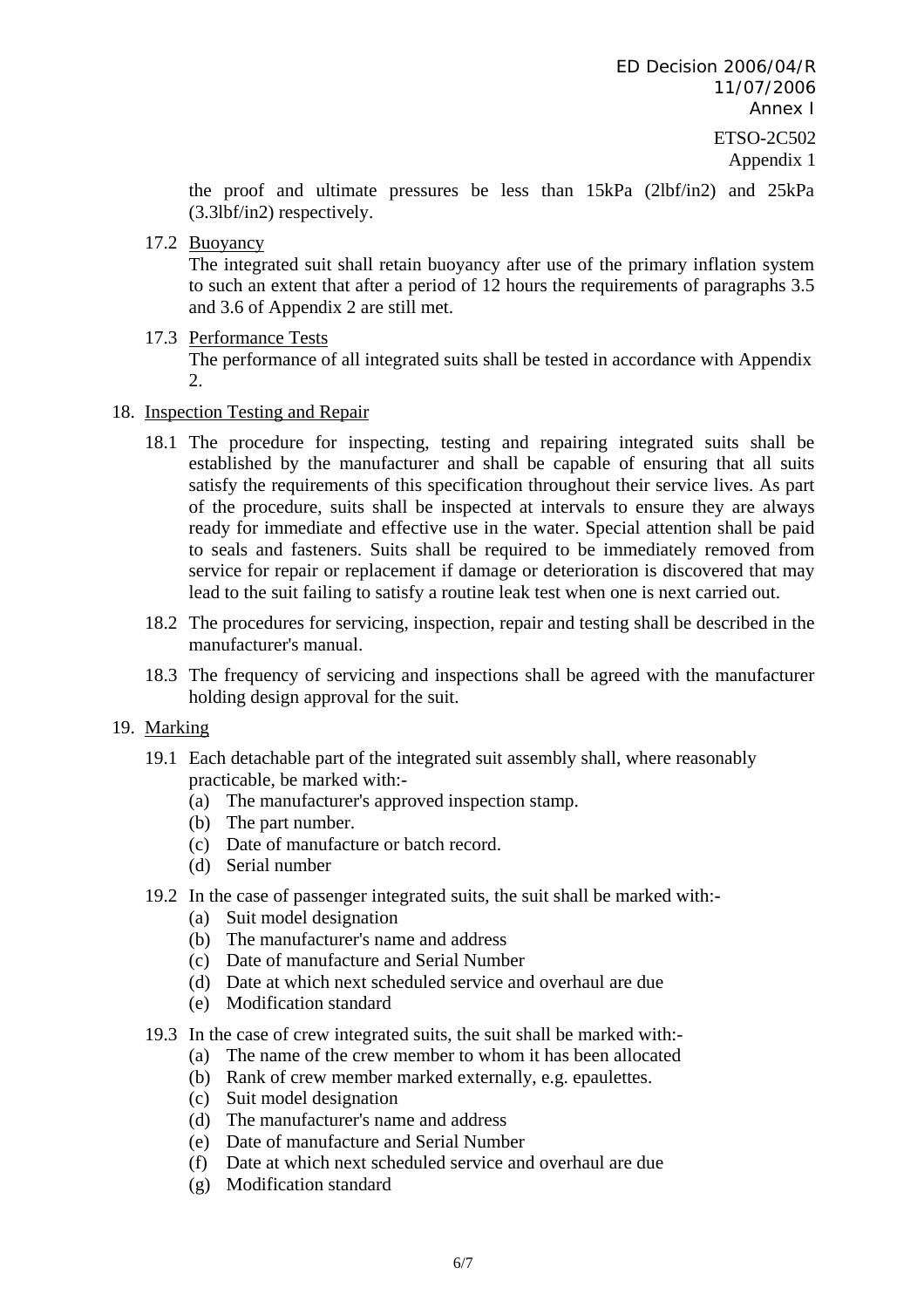the proof and ultimate pressures be less than 15kPa (2lbf/in2) and 25kPa (3.3lbf/in2) respectively.

17.2 Buoyancy

The integrated suit shall retain buoyancy after use of the primary inflation system to such an extent that after a period of 12 hours the requirements of paragraphs 3.5 and 3.6 of Appendix 2 are still met.

17.3 Performance Tests

The performance of all integrated suits shall be tested in accordance with Appendix  $2^{\circ}$ 

#### 18. Inspection Testing and Repair

- 18.1 The procedure for inspecting, testing and repairing integrated suits shall be established by the manufacturer and shall be capable of ensuring that all suits satisfy the requirements of this specification throughout their service lives. As part of the procedure, suits shall be inspected at intervals to ensure they are always ready for immediate and effective use in the water. Special attention shall be paid to seals and fasteners. Suits shall be required to be immediately removed from service for repair or replacement if damage or deterioration is discovered that may lead to the suit failing to satisfy a routine leak test when one is next carried out.
- 18.2 The procedures for servicing, inspection, repair and testing shall be described in the manufacturer's manual.
- 18.3 The frequency of servicing and inspections shall be agreed with the manufacturer holding design approval for the suit.

#### 19. Marking

- 19.1 Each detachable part of the integrated suit assembly shall, where reasonably practicable, be marked with:-
	- (a) The manufacturer's approved inspection stamp.
	- (b) The part number.
	- (c) Date of manufacture or batch record.
	- (d) Serial number
- 19.2 In the case of passenger integrated suits, the suit shall be marked with:-
	- (a) Suit model designation
	- (b) The manufacturer's name and address
	- (c) Date of manufacture and Serial Number
	- (d) Date at which next scheduled service and overhaul are due
	- (e) Modification standard
- 19.3 In the case of crew integrated suits, the suit shall be marked with:-
	- (a) The name of the crew member to whom it has been allocated
	- (b) Rank of crew member marked externally, e.g. epaulettes.
	- (c) Suit model designation
	- (d) The manufacturer's name and address
	- (e) Date of manufacture and Serial Number
	- (f) Date at which next scheduled service and overhaul are due
	- (g) Modification standard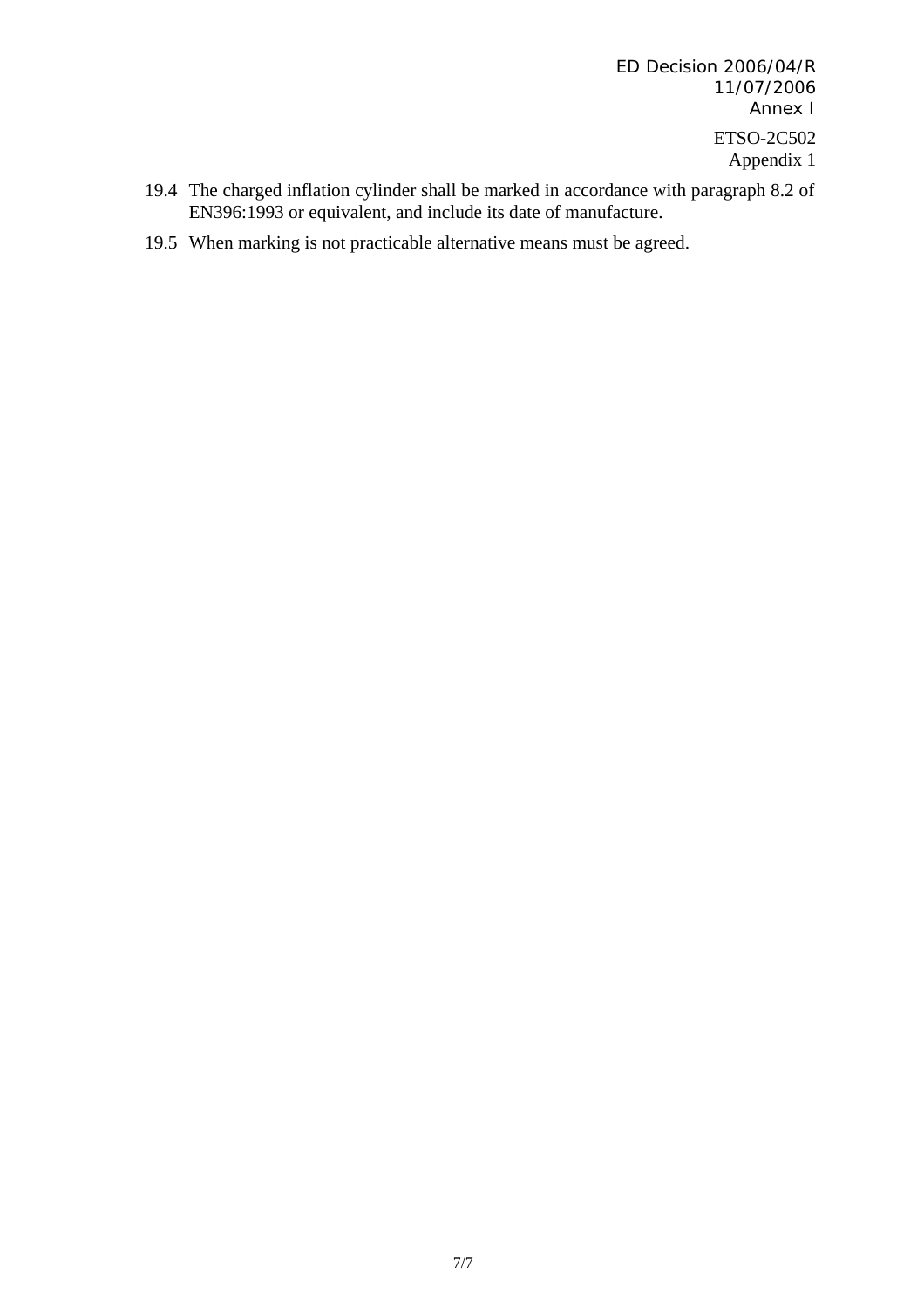ED Decision 2006/04/R 11/07/2006 Annex I ETSO-2C502 Appendix 1

- 19.4 The charged inflation cylinder shall be marked in accordance with paragraph 8.2 of EN396:1993 or equivalent, and include its date of manufacture.
- 19.5 When marking is not practicable alternative means must be agreed.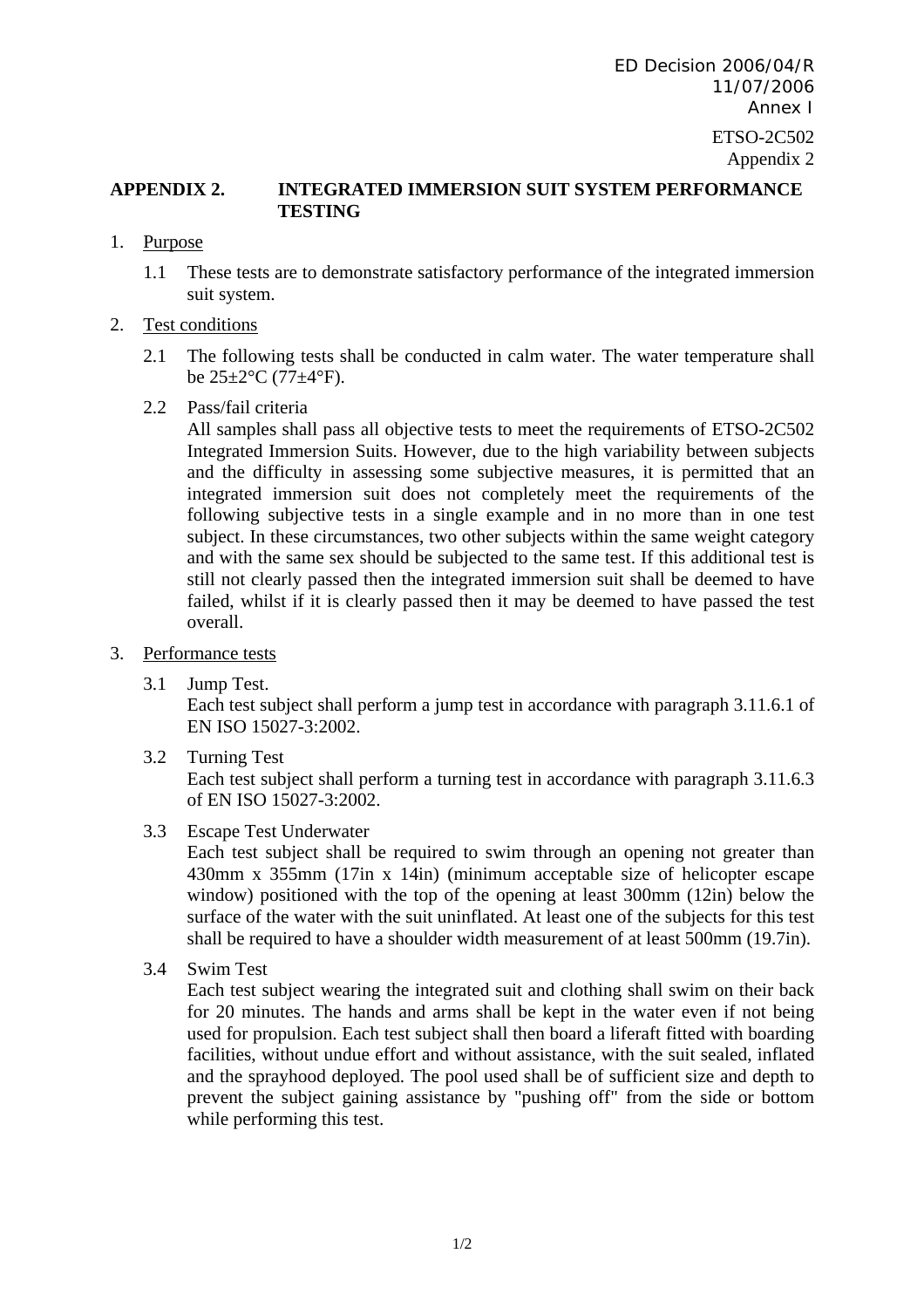# **APPENDIX 2. INTEGRATED IMMERSION SUIT SYSTEM PERFORMANCE TESTING**

- 1. Purpose
	- 1.1 These tests are to demonstrate satisfactory performance of the integrated immersion suit system.

# 2. Test conditions

2.1 The following tests shall be conducted in calm water. The water temperature shall be  $25 \pm 2$ °C (77 $\pm 4$ °F).

#### 2.2 Pass/fail criteria

All samples shall pass all objective tests to meet the requirements of ETSO-2C502 Integrated Immersion Suits. However, due to the high variability between subjects and the difficulty in assessing some subjective measures, it is permitted that an integrated immersion suit does not completely meet the requirements of the following subjective tests in a single example and in no more than in one test subject. In these circumstances, two other subjects within the same weight category and with the same sex should be subjected to the same test. If this additional test is still not clearly passed then the integrated immersion suit shall be deemed to have failed, whilst if it is clearly passed then it may be deemed to have passed the test overall.

#### 3. Performance tests

3.1 Jump Test.

Each test subject shall perform a jump test in accordance with paragraph 3.11.6.1 of EN ISO 15027-3:2002.

3.2 Turning Test

Each test subject shall perform a turning test in accordance with paragraph 3.11.6.3 of EN ISO 15027-3:2002.

3.3 Escape Test Underwater

Each test subject shall be required to swim through an opening not greater than 430mm x 355mm (17in x 14in) (minimum acceptable size of helicopter escape window) positioned with the top of the opening at least 300mm (12in) below the surface of the water with the suit uninflated. At least one of the subjects for this test shall be required to have a shoulder width measurement of at least 500mm (19.7in).

3.4 Swim Test

Each test subject wearing the integrated suit and clothing shall swim on their back for 20 minutes. The hands and arms shall be kept in the water even if not being used for propulsion. Each test subject shall then board a liferaft fitted with boarding facilities, without undue effort and without assistance, with the suit sealed, inflated and the sprayhood deployed. The pool used shall be of sufficient size and depth to prevent the subject gaining assistance by "pushing off" from the side or bottom while performing this test.